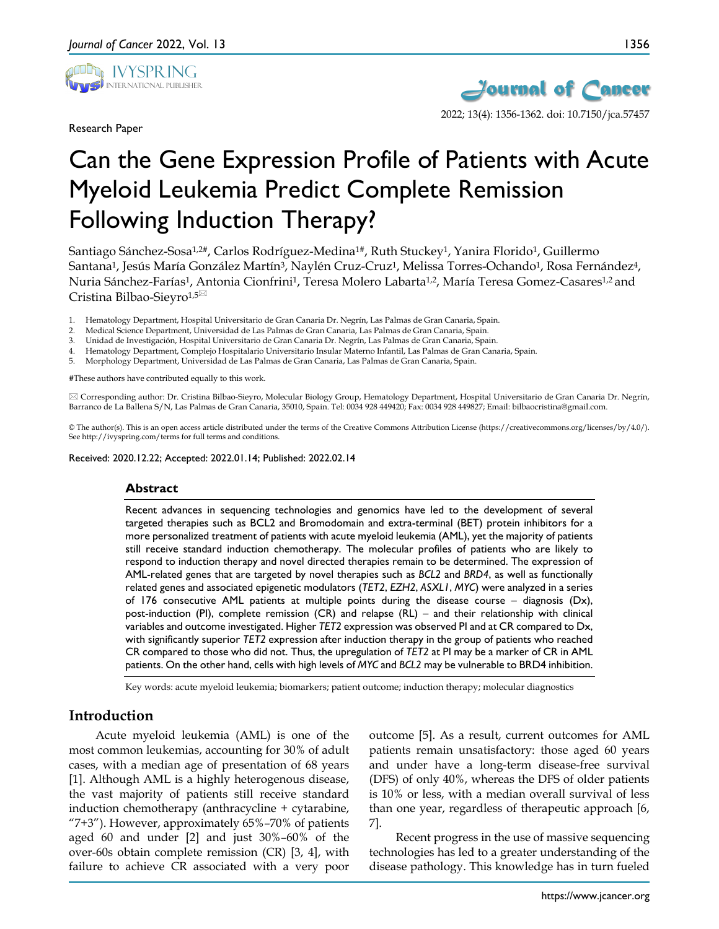

Research Paper



# Can the Gene Expression Profile of Patients with Acute Myeloid Leukemia Predict Complete Remission Following Induction Therapy?

Santiago Sánchez-Sosa<sup>1,2#</sup>, Carlos Rodríguez-Medina<sup>1#</sup>, Ruth Stuckey<sup>1</sup>, Yanira Florido<sup>1</sup>, Guillermo Santana<sup>1</sup>, Jesús María González Martín<sup>3</sup>, Naylén Cruz-Cruz<sup>1</sup>, Melissa Torres-Ochando<sup>1</sup>, Rosa Fernández<sup>4</sup>, Nuria Sánchez-Farías1, Antonia Cionfrini1, Teresa Molero Labarta1,2, María Teresa Gomez-Casares1,2 and Cristina Bilbao-Sieyro<sup>1,5⊠</sup>

- 1. Hematology Department, Hospital Universitario de Gran Canaria Dr. Negrín, Las Palmas de Gran Canaria, Spain.
- 2. Medical Science Department, Universidad de Las Palmas de Gran Canaria, Las Palmas de Gran Canaria, Spain.
- 3. Unidad de Investigación, Hospital Universitario de Gran Canaria Dr. Negrín, Las Palmas de Gran Canaria, Spain.
- 4. Hematology Department, Complejo Hospitalario Universitario Insular Materno Infantil, Las Palmas de Gran Canaria, Spain.
- 5. Morphology Department, Universidad de Las Palmas de Gran Canaria, Las Palmas de Gran Canaria, Spain.

#These authors have contributed equally to this work.

 Corresponding author: Dr. Cristina Bilbao-Sieyro, Molecular Biology Group, Hematology Department, Hospital Universitario de Gran Canaria Dr. Negrín, Barranco de La Ballena S/N, Las Palmas de Gran Canaria, 35010, Spain. Tel: 0034 928 449420; Fax: 0034 928 449827; Email: bilbaocristina@gmail.com.

© The author(s). This is an open access article distributed under the terms of the Creative Commons Attribution License (https://creativecommons.org/licenses/by/4.0/). See http://ivyspring.com/terms for full terms and conditions.

Received: 2020.12.22; Accepted: 2022.01.14; Published: 2022.02.14

#### **Abstract**

Recent advances in sequencing technologies and genomics have led to the development of several targeted therapies such as BCL2 and Bromodomain and extra-terminal (BET) protein inhibitors for a more personalized treatment of patients with acute myeloid leukemia (AML), yet the majority of patients still receive standard induction chemotherapy. The molecular profiles of patients who are likely to respond to induction therapy and novel directed therapies remain to be determined. The expression of AML-related genes that are targeted by novel therapies such as *BCL2* and *BRD4*, as well as functionally related genes and associated epigenetic modulators (*TET2*, *EZH2*, *ASXL1*, *MYC*) were analyzed in a series of 176 consecutive AML patients at multiple points during the disease course – diagnosis ( $Dx$ ), post-induction (PI), complete remission (CR) and relapse (RL) – and their relationship with clinical variables and outcome investigated. Higher *TET2* expression was observed PI and at CR compared to Dx, with significantly superior *TET2* expression after induction therapy in the group of patients who reached CR compared to those who did not. Thus, the upregulation of *TET2* at PI may be a marker of CR in AML patients. On the other hand, cells with high levels of *MYC* and *BCL2* may be vulnerable to BRD4 inhibition.

Key words: acute myeloid leukemia; biomarkers; patient outcome; induction therapy; molecular diagnostics

# **Introduction**

Acute myeloid leukemia (AML) is one of the most common leukemias, accounting for 30% of adult cases, with a median age of presentation of 68 years [1]. Although AML is a highly heterogenous disease, the vast majority of patients still receive standard induction chemotherapy (anthracycline + cytarabine, "7+3"). However, approximately 65%–70% of patients aged 60 and under [2] and just 30%–60% of the over-60s obtain complete remission (CR) [3, 4], with failure to achieve CR associated with a very poor

outcome [5]. As a result, current outcomes for AML patients remain unsatisfactory: those aged 60 years and under have a long-term disease-free survival (DFS) of only 40%, whereas the DFS of older patients is 10% or less, with a median overall survival of less than one year, regardless of therapeutic approach [6, 7].

Recent progress in the use of massive sequencing technologies has led to a greater understanding of the disease pathology. This knowledge has in turn fueled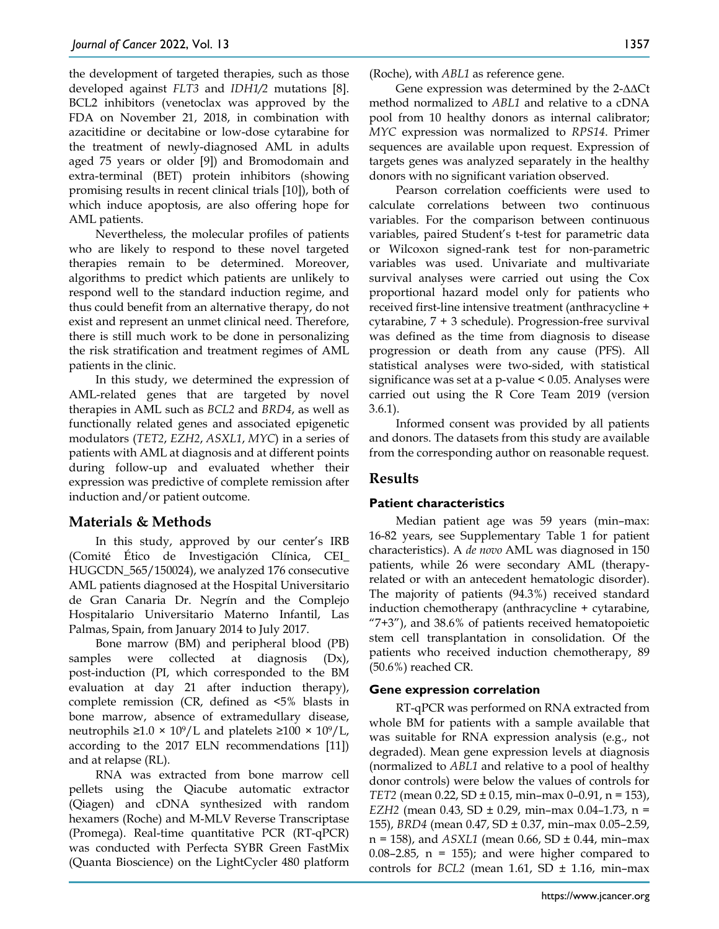the development of targeted therapies, such as those developed against *FLT3* and *IDH1/2* mutations [8]. BCL2 inhibitors (venetoclax was approved by the FDA on November 21, 2018, in combination with azacitidine or decitabine or low-dose cytarabine for the treatment of newly-diagnosed AML in adults aged 75 years or older [9]) and Bromodomain and extra-terminal (BET) protein inhibitors (showing promising results in recent clinical trials [10]), both of which induce apoptosis, are also offering hope for AML patients.

Nevertheless, the molecular profiles of patients who are likely to respond to these novel targeted therapies remain to be determined. Moreover, algorithms to predict which patients are unlikely to respond well to the standard induction regime, and thus could benefit from an alternative therapy, do not exist and represent an unmet clinical need. Therefore, there is still much work to be done in personalizing the risk stratification and treatment regimes of AML patients in the clinic.

In this study, we determined the expression of AML-related genes that are targeted by novel therapies in AML such as *BCL2* and *BRD4*, as well as functionally related genes and associated epigenetic modulators (*TET2*, *EZH2*, *ASXL1*, *MYC*) in a series of patients with AML at diagnosis and at different points during follow-up and evaluated whether their expression was predictive of complete remission after induction and/or patient outcome.

# **Materials & Methods**

In this study, approved by our center's IRB (Comité Ético de Investigación Clínica, CEI\_ HUGCDN\_565/150024), we analyzed 176 consecutive AML patients diagnosed at the Hospital Universitario de Gran Canaria Dr. Negrín and the Complejo Hospitalario Universitario Materno Infantil, Las Palmas, Spain, from January 2014 to July 2017.

Bone marrow (BM) and peripheral blood (PB) samples were collected at diagnosis (Dx), post-induction (PI, which corresponded to the BM evaluation at day 21 after induction therapy), complete remission (CR, defined as <5% blasts in bone marrow, absence of extramedullary disease, neutrophils ≥1.0 × 10<sup>9</sup>/L and platelets ≥100 × 10<sup>9</sup>/L, according to the 2017 ELN recommendations [11]) and at relapse (RL).

RNA was extracted from bone marrow cell pellets using the Qiacube automatic extractor (Qiagen) and cDNA synthesized with random hexamers (Roche) and M-MLV Reverse Transcriptase (Promega). Real-time quantitative PCR (RT-qPCR) was conducted with Perfecta SYBR Green FastMix (Quanta Bioscience) on the LightCycler 480 platform (Roche), with *ABL1* as reference gene.

Gene expression was determined by the 2-∆∆Ct method normalized to *ABL1* and relative to a cDNA pool from 10 healthy donors as internal calibrator; *MYC* expression was normalized to *RPS14*. Primer sequences are available upon request. Expression of targets genes was analyzed separately in the healthy donors with no significant variation observed.

Pearson correlation coefficients were used to calculate correlations between two continuous variables. For the comparison between continuous variables, paired Student's t-test for parametric data or Wilcoxon signed-rank test for non-parametric variables was used. Univariate and multivariate survival analyses were carried out using the Cox proportional hazard model only for patients who received first-line intensive treatment (anthracycline + cytarabine, 7 + 3 schedule). Progression-free survival was defined as the time from diagnosis to disease progression or death from any cause (PFS). All statistical analyses were two-sided, with statistical significance was set at a p-value < 0.05. Analyses were carried out using the R Core Team 2019 (version 3.6.1).

Informed consent was provided by all patients and donors. The datasets from this study are available from the corresponding author on reasonable request.

# **Results**

## **Patient characteristics**

Median patient age was 59 years (min–max: 16-82 years, see Supplementary Table 1 for patient characteristics). A *de novo* AML was diagnosed in 150 patients, while 26 were secondary AML (therapyrelated or with an antecedent hematologic disorder). The majority of patients (94.3%) received standard induction chemotherapy (anthracycline + cytarabine, "7+3"), and 38.6% of patients received hematopoietic stem cell transplantation in consolidation. Of the patients who received induction chemotherapy, 89 (50.6%) reached CR.

## **Gene expression correlation**

RT-qPCR was performed on RNA extracted from whole BM for patients with a sample available that was suitable for RNA expression analysis (e.g., not degraded). Mean gene expression levels at diagnosis (normalized to *ABL1* and relative to a pool of healthy donor controls) were below the values of controls for *TET2* (mean 0.22, SD ± 0.15, min–max 0–0.91, n = 153), *EZH2* (mean 0.43, SD ± 0.29, min–max 0.04–1.73, n = 155), *BRD4* (mean 0.47, SD ± 0.37, min–max 0.05–2.59, n = 158), and *ASXL1* (mean 0.66, SD ± 0.44, min–max  $0.08-2.85$ , n = 155); and were higher compared to controls for *BCL2* (mean 1.61, SD  $\pm$  1.16, min-max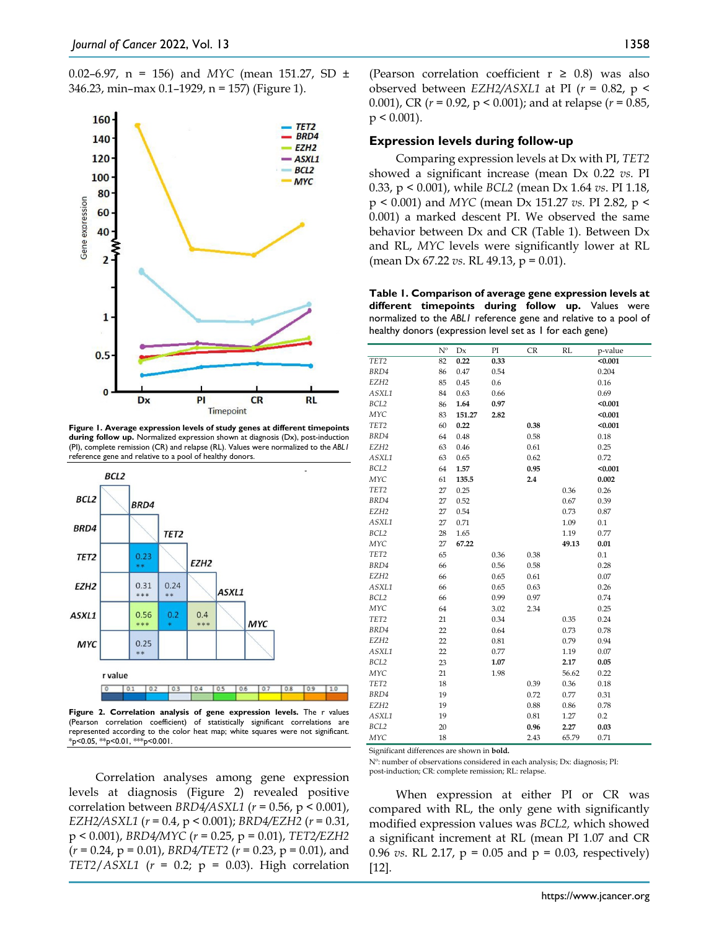

**Figure 1. Average expression levels of study genes at different timepoints during follow up.** Normalized expression shown at diagnosis (Dx), post-induction (PI), complete remission (CR) and relapse (RL). Values were normalized to the *ABL1* reference gene and relative to a pool of healthy donors.



**Figure 2. Correlation analysis of gene expression levels.** The r values (Pearson correlation coefficient) of statistically significant correlations are represented according to the color heat map; white squares were not significant. \*p<0.05, \*\*p<0.01, \*\*\*p<0.001.

Correlation analyses among gene expression levels at diagnosis (Figure 2) revealed positive correlation between *BRD4/ASXL1* (*r* = 0.56, p < 0.001), *EZH2/ASXL1* (*r* = 0.4, p < 0.001); *BRD4/EZH2* (*r* = 0.31, p < 0.001), *BRD4/MYC* (*r* = 0.25, p = 0.01), *TET2/EZH2* (*r* = 0.24, p = 0.01), *BRD4/TET2* (*r* = 0.23, p = 0.01), and *TET2*/*ASXL1* ( $r = 0.2$ ;  $p = 0.03$ ). High correlation (Pearson correlation coefficient  $r \geq 0.8$ ) was also observed between *EZH2/ASXL1* at PI (*r* = 0.82, p < 0.001), CR (*r* = 0.92, p < 0.001); and at relapse (*r* = 0.85,  $p < 0.001$ ).

#### **Expression levels during follow-up**

Comparing expression levels at Dx with PI, *TET2*  showed a significant increase (mean Dx 0.22 *vs.* PI 0.33, p < 0.001), while *BCL2* (mean Dx 1.64 *vs*. PI 1.18, p < 0.001) and *MYC* (mean Dx 151.27 *vs.* PI 2.82, p < 0.001) a marked descent PI. We observed the same behavior between Dx and CR (Table 1). Between Dx and RL, *MYC* levels were significantly lower at RL (mean Dx 67.22 *vs*. RL 49.13, p = 0.01).

**Table 1. Comparison of average gene expression levels at different timepoints during follow up.** Values were normalized to the *ABL1* reference gene and relative to a pool of healthy donors (expression level set as 1 for each gene)

|                  | $N^{\rm o}$ | Dx     | PI   | <b>CR</b> | RL    | p-value |
|------------------|-------------|--------|------|-----------|-------|---------|
| TET2             | 82          | 0.22   | 0.33 |           |       | < 0.001 |
| BRD4             | 86          | 0.47   | 0.54 |           |       | 0.204   |
| EZH <sub>2</sub> | 85          | 0.45   | 0.6  |           |       | 0.16    |
| ASXL1            | 84          | 0.63   | 0.66 |           |       | 0.69    |
| BCL2             | 86          | 1.64   | 0.97 |           |       | < 0.001 |
| MYC              | 83          | 151.27 | 2.82 |           |       | < 0.001 |
| TET2             | 60          | 0.22   |      | 0.38      |       | < 0.001 |
| BRD4             | 64          | 0.48   |      | 0.58      |       | 0.18    |
| EZH <sub>2</sub> | 63          | 0.46   |      | 0.61      |       | 0.25    |
| ASXL1            | 63          | 0.65   |      | 0.62      |       | 0.72    |
| BCL2             | 64          | 1.57   |      | 0.95      |       | < 0.001 |
| MYC              | 61          | 135.5  |      | 2.4       |       | 0.002   |
| TET2             | 27          | 0.25   |      |           | 0.36  | 0.26    |
| BRD4             | 27          | 0.52   |      |           | 0.67  | 0.39    |
| EZH <sub>2</sub> | 27          | 0.54   |      |           | 0.73  | 0.87    |
| ASXL1            | 27          | 0.71   |      |           | 1.09  | 0.1     |
| BCL2             | 28          | 1.65   |      |           | 1.19  | 0.77    |
| MYC              | 27          | 67.22  |      |           | 49.13 | 0.01    |
| TET2             | 65          |        | 0.36 | 0.38      |       | 0.1     |
| BRD4             | 66          |        | 0.56 | 0.58      |       | 0.28    |
| EZH <sub>2</sub> | 66          |        | 0.65 | 0.61      |       | 0.07    |
| ASXL1            | 66          |        | 0.65 | 0.63      |       | 0.26    |
| BCL2             | 66          |        | 0.99 | 0.97      |       | 0.74    |
| MYC              | 64          |        | 3.02 | 2.34      |       | 0.25    |
| TET2             | 21          |        | 0.34 |           | 0.35  | 0.24    |
| BRD4             | 22          |        | 0.64 |           | 0.73  | 0.78    |
| EZH <sub>2</sub> | 22          |        | 0.81 |           | 0.79  | 0.94    |
| ASXL1            | 22          |        | 0.77 |           | 1.19  | 0.07    |
| BCL2             | 23          |        | 1.07 |           | 2.17  | 0.05    |
| MYC              | 21          |        | 1.98 |           | 56.62 | 0.22    |
| TET <sub>2</sub> | 18          |        |      | 0.39      | 0.36  | 0.18    |
| BRD4             | 19          |        |      | 0.72      | 0.77  | 0.31    |
| EZH <sub>2</sub> | 19          |        |      | 0.88      | 0.86  | 0.78    |
| ASXL1            | 19          |        |      | 0.81      | 1.27  | 0.2     |
| BCL2             | 20          |        |      | 0.96      | 2.27  | 0.03    |
| MYC              | 18          |        |      | 2.43      | 65.79 | 0.71    |

Significant differences are shown in **bold.**

Nº: number of observations considered in each analysis; Dx: diagnosis; PI: post-induction; CR: complete remission; RL: relapse.

When expression at either PI or CR was compared with RL, the only gene with significantly modified expression values was *BCL2,* which showed a significant increment at RL (mean PI 1.07 and CR 0.96 *vs*. RL 2.17, p = 0.05 and p = 0.03, respectively) [12].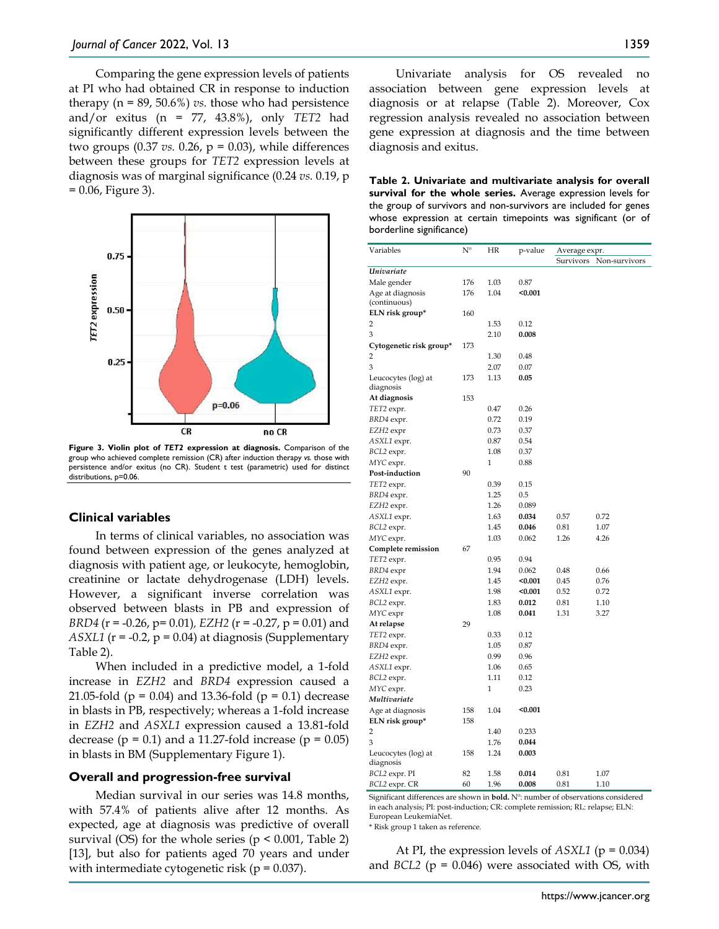Comparing the gene expression levels of patients at PI who had obtained CR in response to induction therapy  $(n = 89, 50.6\%)$  *vs.* those who had persistence and/or exitus (n = 77, 43.8%), only *TET2* had significantly different expression levels between the two groups  $(0.37 \text{ vs. } 0.26, p = 0.03)$ , while differences between these groups for *TET2* expression levels at diagnosis was of marginal significance (0.24 *vs.* 0.19, p  $= 0.06$ , Figure 3).



**Figure 3. Violin plot of** *TET2* **expression at diagnosis.** Comparison of the group who achieved complete remission (CR) after induction therapy *vs.* those with persistence and/or exitus (no CR). Student t test (parametric) used for distinct distributions, p=0.06.

#### **Clinical variables**

In terms of clinical variables, no association was found between expression of the genes analyzed at diagnosis with patient age, or leukocyte, hemoglobin, creatinine or lactate dehydrogenase (LDH) levels. However, a significant inverse correlation was observed between blasts in PB and expression of *BRD4* (r = -0.26, p= 0.01)*, EZH2* (r = -0.27, p = 0.01) and *ASXL1* ( $r = -0.2$ ,  $p = 0.04$ ) at diagnosis (Supplementary Table 2).

When included in a predictive model, a 1-fold increase in *EZH2* and *BRD4* expression caused a 21.05-fold ( $p = 0.04$ ) and 13.36-fold ( $p = 0.1$ ) decrease in blasts in PB, respectively; whereas a 1-fold increase in *EZH2* and *ASXL1* expression caused a 13.81-fold decrease ( $p = 0.1$ ) and a 11.27-fold increase ( $p = 0.05$ ) in blasts in BM (Supplementary Figure 1).

#### **Overall and progression-free survival**

Median survival in our series was 14.8 months, with 57.4% of patients alive after 12 months. As expected, age at diagnosis was predictive of overall survival (OS) for the whole series ( $p \le 0.001$ , Table 2) [13], but also for patients aged 70 years and under with intermediate cytogenetic risk ( $p = 0.037$ ).

Univariate analysis for OS revealed no association between gene expression levels at diagnosis or at relapse (Table 2). Moreover, Cox regression analysis revealed no association between gene expression at diagnosis and the time between diagnosis and exitus.

**Table 2. Univariate and multivariate analysis for overall survival for the whole series.** Average expression levels for the group of survivors and non-survivors are included for genes whose expression at certain timepoints was significant (or of borderline significance)

| Variables                        | $N^{\rm o}$<br>HR<br>p-value<br>Average expr. |      |         |           |               |
|----------------------------------|-----------------------------------------------|------|---------|-----------|---------------|
|                                  |                                               |      |         | Survivors | Non-survivors |
| Univariate                       |                                               |      |         |           |               |
| Male gender                      | 176                                           | 1.03 | 0.87    |           |               |
| Age at diagnosis<br>(continuous) | 176                                           | 1.04 | $0.001$ |           |               |
| ELN risk group*                  | 160                                           |      |         |           |               |
| 2                                |                                               | 1.53 | 0.12    |           |               |
| 3                                |                                               | 2.10 | 0.008   |           |               |
| Cytogenetic risk group*          | 173                                           |      |         |           |               |
| 2                                |                                               | 1.30 | 0.48    |           |               |
| 3                                |                                               | 2.07 | 0.07    |           |               |
| Leucocytes (log) at<br>diagnosis | 173                                           | 1.13 | 0.05    |           |               |
| At diagnosis                     | 153                                           |      |         |           |               |
| TET2 expr.                       |                                               | 0.47 | 0.26    |           |               |
| BRD4 expr.                       |                                               | 0.72 | 0.19    |           |               |
| EZH2 expr                        |                                               | 0.73 | 0.37    |           |               |
| ASXL1 expr.                      |                                               | 0.87 | 0.54    |           |               |
| BCL2 expr.                       |                                               | 1.08 | 0.37    |           |               |
| MYC expr.                        |                                               | 1    | 0.88    |           |               |
| Post-induction                   | 90                                            |      |         |           |               |
| TET2 expr.                       |                                               | 0.39 | 0.15    |           |               |
| BRD4 expr.                       |                                               | 1.25 | 0.5     |           |               |
| EZH2 expr.                       |                                               | 1.26 | 0.089   |           |               |
| ASXL1 expr.                      |                                               | 1.63 | 0.034   | 0.57      | 0.72          |
| BCL2 expr.                       |                                               | 1.45 | 0.046   | 0.81      | 1.07          |
| MYC expr.                        |                                               | 1.03 | 0.062   | 1.26      | 4.26          |
| Complete remission               | 67                                            |      |         |           |               |
| TET2 expr.                       |                                               | 0.95 | 0.94    |           |               |
| BRD4 expr                        |                                               | 1.94 | 0.062   | 0.48      | 0.66          |
| EZH2 expr.                       |                                               | 1.45 | < 0.001 | 0.45      | 0.76          |
| ASXL1 expr.                      |                                               | 1.98 | < 0.001 | 0.52      | 0.72          |
| BCL2 expr.                       |                                               | 1.83 | 0.012   | 0.81      | 1.10          |
| MYC expr                         |                                               | 1.08 | 0.041   | 1.31      | 3.27          |
| At relapse                       | 29                                            |      |         |           |               |
| TET2 expr.                       |                                               | 0.33 | 0.12    |           |               |
| BRD4 expr.                       |                                               | 1.05 | 0.87    |           |               |
| EZH2 expr.                       |                                               | 0.99 | 0.96    |           |               |
| ASXL1 expr.                      |                                               | 1.06 | 0.65    |           |               |
| BCL2 expr.                       |                                               | 1.11 | 0.12    |           |               |
| MYC expr.                        |                                               | 1    | 0.23    |           |               |
| Multivariate                     |                                               |      |         |           |               |
| Age at diagnosis                 | 158                                           | 1.04 | < 0.001 |           |               |
| ELN risk group*                  | 158                                           |      |         |           |               |
| 2                                |                                               | 1.40 | 0.233   |           |               |
| 3                                |                                               | 1.76 | 0.044   |           |               |
| Leucocytes (log) at              | 158                                           | 1.24 | 0.003   |           |               |
| diagnosis                        |                                               |      |         |           |               |
| BCL2 expr. PI                    | 82                                            | 1.58 | 0.014   | 0.81      | 1.07          |
| BCL2 expr. CR                    | 60                                            | 1.96 | 0.008   | 0.81      | 1.10          |

Significant differences are shown in **bold.** Nº: number of observations considered in each analysis; PI: post-induction; CR: complete remission; RL: relapse; ELN: European LeukemiaNet.

\* Risk group 1 taken as reference.

At PI, the expression levels of *ASXL1* (p = 0.034) and *BCL2* (p = 0.046) were associated with OS, with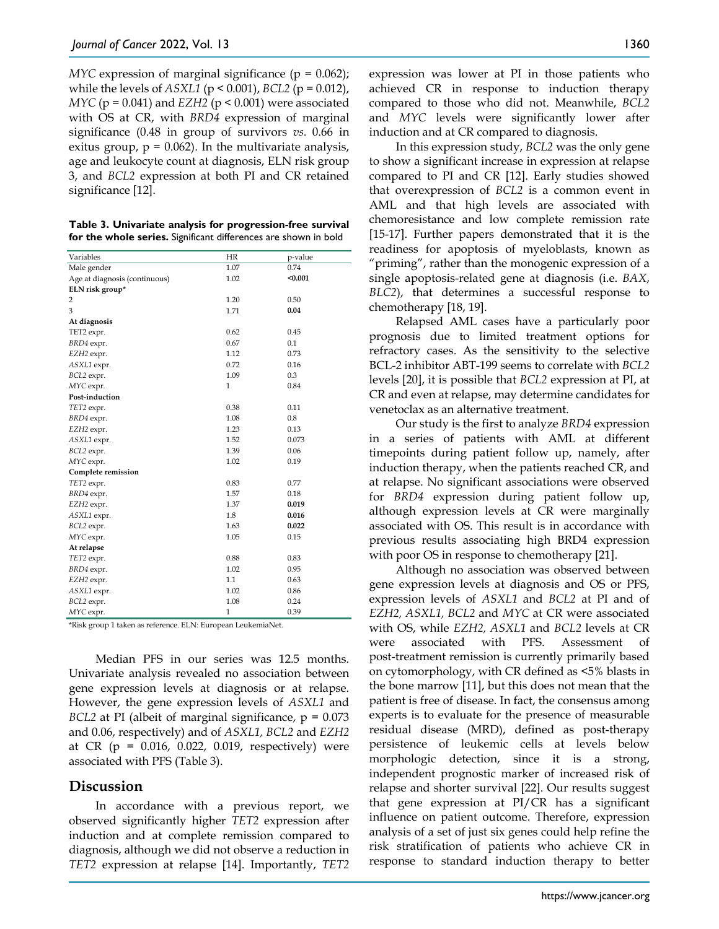*MYC* expression of marginal significance ( $p = 0.062$ ); while the levels of *ASXL1* (p < 0.001), *BCL2* (p = 0.012), *MYC* (p = 0.041) and *EZH2* (p < 0.001) were associated with OS at CR, with *BRD4* expression of marginal significance (0.48 in group of survivors *vs.* 0.66 in exitus group,  $p = 0.062$ ). In the multivariate analysis, age and leukocyte count at diagnosis, ELN risk group 3, and *BCL2* expression at both PI and CR retained significance [12].

| Table 3. Univariate analysis for progression-free survival      |  |
|-----------------------------------------------------------------|--|
| for the whole series. Significant differences are shown in bold |  |

| Variables                     | HR           |                 |
|-------------------------------|--------------|-----------------|
|                               |              | p-value<br>0.74 |
| Male gender                   | 1.07         |                 |
| Age at diagnosis (continuous) | 1.02         | $0.001$         |
| ELN risk group*               |              |                 |
| 2                             | 1.20         | 0.50            |
| 3                             | 1.71         | 0.04            |
| At diagnosis                  |              |                 |
| TET2 expr.                    | 0.62         | 0.45            |
| BRD4 expr.                    | 0.67         | 0.1             |
| EZH2 expr.                    | 1.12         | 0.73            |
| ASXL1 expr.                   | 0.72         | 0.16            |
| BCL2 expr.                    | 1.09         | 0.3             |
| MYC expr.                     | $\mathbf{1}$ | 0.84            |
| Post-induction                |              |                 |
| TET2 expr.                    | 0.38         | 0.11            |
| BRD4 expr.                    | 1.08         | 0.8             |
| EZH2 expr.                    | 1.23         | 0.13            |
| ASXL1 expr.                   | 1.52         | 0.073           |
| BCL2 expr.                    | 1.39         | 0.06            |
| MYC expr.                     | 1.02         | 0.19            |
| Complete remission            |              |                 |
| TET2 expr.                    | 0.83         | 0.77            |
| BRD4 expr.                    | 1.57         | 0.18            |
| EZH2 expr.                    | 1.37         | 0.019           |
| ASXL1 expr.                   | 1.8          | 0.016           |
| BCL2 expr.                    | 1.63         | 0.022           |
| MYC expr.                     | 1.05         | 0.15            |
| At relapse                    |              |                 |
| TET2 expr.                    | 0.88         | 0.83            |
| BRD4 expr.                    | 1.02         | 0.95            |
| EZH2 expr.                    | 1.1          | 0.63            |
| ASXL1 expr.                   | 1.02         | 0.86            |
| BCL2 expr.                    | 1.08         | 0.24            |
| MYC expr.                     | $\mathbf{1}$ | 0.39            |

\*Risk group 1 taken as reference. ELN: European LeukemiaNet.

Median PFS in our series was 12.5 months. Univariate analysis revealed no association between gene expression levels at diagnosis or at relapse. However, the gene expression levels of *ASXL1* and *BCL2* at PI (albeit of marginal significance,  $p = 0.073$ and 0.06, respectively) and of *ASXL1, BCL2* and *EZH2*  at CR ( $p = 0.016, 0.022, 0.019$ , respectively) were associated with PFS (Table 3).

#### **Discussion**

In accordance with a previous report, we observed significantly higher *TET2* expression after induction and at complete remission compared to diagnosis, although we did not observe a reduction in *TET2* expression at relapse [14]. Importantly, *TET2*  expression was lower at PI in those patients who achieved CR in response to induction therapy compared to those who did not. Meanwhile, *BCL2* and *MYC* levels were significantly lower after induction and at CR compared to diagnosis.

In this expression study, *BCL2* was the only gene to show a significant increase in expression at relapse compared to PI and CR [12]. Early studies showed that overexpression of *BCL2* is a common event in AML and that high levels are associated with chemoresistance and low complete remission rate [15-17]. Further papers demonstrated that it is the readiness for apoptosis of myeloblasts, known as "priming", rather than the monogenic expression of a single apoptosis-related gene at diagnosis (i.e. *BAX*, *BLC2*), that determines a successful response to chemotherapy [18, 19].

Relapsed AML cases have a particularly poor prognosis due to limited treatment options for refractory cases. As the sensitivity to the selective BCL-2 inhibitor ABT-199 seems to correlate with *BCL2* levels [20], it is possible that *BCL2* expression at PI, at CR and even at relapse, may determine candidates for venetoclax as an alternative treatment.

Our study is the first to analyze *BRD4* expression in a series of patients with AML at different timepoints during patient follow up, namely, after induction therapy, when the patients reached CR, and at relapse. No significant associations were observed for *BRD4* expression during patient follow up, although expression levels at CR were marginally associated with OS. This result is in accordance with previous results associating high BRD4 expression with poor OS in response to chemotherapy [21].

Although no association was observed between gene expression levels at diagnosis and OS or PFS, expression levels of *ASXL1* and *BCL2* at PI and of *EZH2, ASXL1, BCL2* and *MYC* at CR were associated with OS, while *EZH2, ASXL1* and *BCL2* levels at CR were associated with PFS. Assessment of post-treatment remission is currently primarily based on cytomorphology, with CR defined as <5% blasts in the bone marrow [11], but this does not mean that the patient is free of disease. In fact, the consensus among experts is to evaluate for the presence of measurable residual disease (MRD), defined as post-therapy persistence of leukemic cells at levels below morphologic detection, since it is a strong, independent prognostic marker of increased risk of relapse and shorter survival [22]. Our results suggest that gene expression at PI/CR has a significant influence on patient outcome. Therefore, expression analysis of a set of just six genes could help refine the risk stratification of patients who achieve CR in response to standard induction therapy to better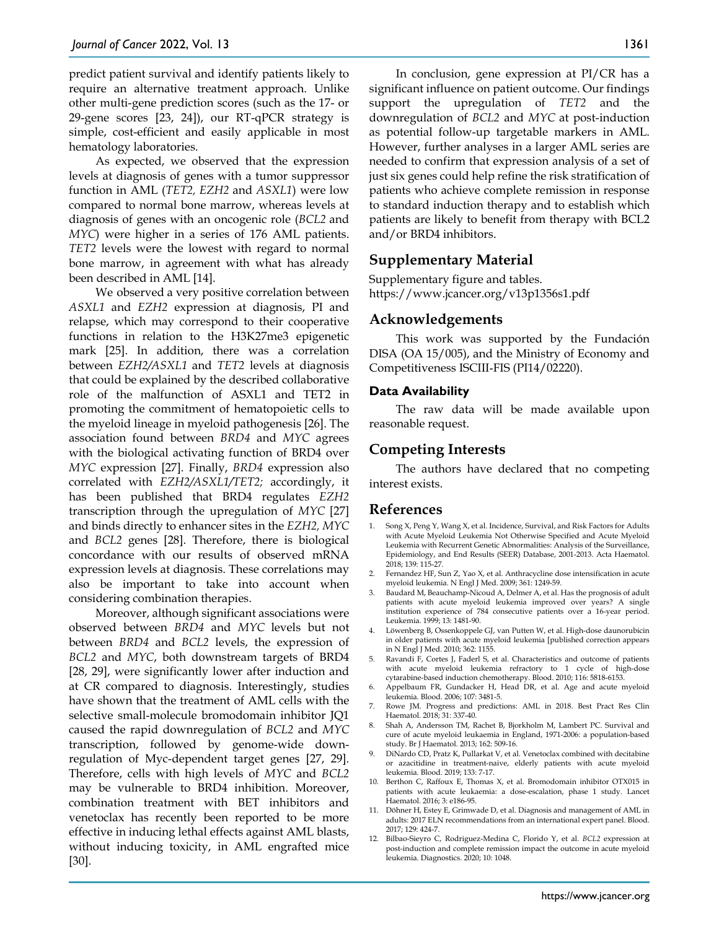predict patient survival and identify patients likely to require an alternative treatment approach. Unlike other multi-gene prediction scores (such as the 17- or 29-gene scores [23, 24]), our RT-qPCR strategy is simple, cost-efficient and easily applicable in most hematology laboratories.

As expected, we observed that the expression levels at diagnosis of genes with a tumor suppressor function in AML (*TET2, EZH2* and *ASXL1*) were low compared to normal bone marrow, whereas levels at diagnosis of genes with an oncogenic role (*BCL2* and *MYC*) were higher in a series of 176 AML patients. *TET2* levels were the lowest with regard to normal bone marrow, in agreement with what has already been described in AML [14].

We observed a very positive correlation between *ASXL1* and *EZH2* expression at diagnosis, PI and relapse, which may correspond to their cooperative functions in relation to the H3K27me3 epigenetic mark [25]. In addition, there was a correlation between *EZH2/ASXL1* and *TET2* levels at diagnosis that could be explained by the described collaborative role of the malfunction of ASXL1 and TET2 in promoting the commitment of hematopoietic cells to the myeloid lineage in myeloid pathogenesis [26]. The association found between *BRD4* and *MYC* agrees with the biological activating function of BRD4 over *MYC* expression [27]. Finally, *BRD4* expression also correlated with *EZH2/ASXL1/TET2;* accordingly, it has been published that BRD4 regulates *EZH2* transcription through the upregulation of *MYC* [27] and binds directly to enhancer sites in the *EZH2, MYC* and *BCL2* genes [28]. Therefore, there is biological concordance with our results of observed mRNA expression levels at diagnosis. These correlations may also be important to take into account when considering combination therapies.

Moreover, although significant associations were observed between *BRD4* and *MYC* levels but not between *BRD4* and *BCL2* levels, the expression of *BCL2* and *MYC*, both downstream targets of BRD4 [28, 29], were significantly lower after induction and at CR compared to diagnosis. Interestingly, studies have shown that the treatment of AML cells with the selective small-molecule bromodomain inhibitor JQ1 caused the rapid downregulation of *BCL2* and *MYC* transcription, followed by genome-wide downregulation of Myc-dependent target genes [27, 29]. Therefore, cells with high levels of *MYC* and *BCL2* may be vulnerable to BRD4 inhibition. Moreover, combination treatment with BET inhibitors and venetoclax has recently been reported to be more effective in inducing lethal effects against AML blasts, without inducing toxicity, in AML engrafted mice [30].

In conclusion, gene expression at PI/CR has a significant influence on patient outcome. Our findings support the upregulation of *TET2* and the downregulation of *BCL2* and *MYC* at post-induction as potential follow-up targetable markers in AML. However, further analyses in a larger AML series are needed to confirm that expression analysis of a set of just six genes could help refine the risk stratification of patients who achieve complete remission in response to standard induction therapy and to establish which patients are likely to benefit from therapy with BCL2 and/or BRD4 inhibitors.

# **Supplementary Material**

Supplementary figure and tables. https://www.jcancer.org/v13p1356s1.pdf

## **Acknowledgements**

This work was supported by the Fundación DISA (OA 15/005), and the Ministry of Economy and Competitiveness ISCIII‐FIS (PI14/02220).

#### **Data Availability**

The raw data will be made available upon reasonable request.

# **Competing Interests**

The authors have declared that no competing interest exists.

## **References**

- 1. Song X, Peng Y, Wang X, et al. Incidence, Survival, and Risk Factors for Adults with Acute Myeloid Leukemia Not Otherwise Specified and Acute Myeloid Leukemia with Recurrent Genetic Abnormalities: Analysis of the Surveillance, Epidemiology, and End Results (SEER) Database, 2001-2013. Acta Haematol. 2018; 139: 115-27.
- 2. Fernandez HF, Sun Z, Yao X, et al. Anthracycline dose intensification in acute myeloid leukemia. N Engl J Med. 2009; 361: 1249-59.
- 3. Baudard M, Beauchamp-Nicoud A, Delmer A, et al. Has the prognosis of adult patients with acute myeloid leukemia improved over years? A single institution experience of 784 consecutive patients over a 16-year period. Leukemia. 1999; 13: 1481-90.
- 4. Löwenberg B, Ossenkoppele GJ, van Putten W, et al. High-dose daunorubicin in older patients with acute myeloid leukemia [published correction appears in N Engl J Med. 2010; 362: 1155.
- 5. Ravandi F, Cortes J, Faderl S, et al. Characteristics and outcome of patients with acute myeloid leukemia refractory to 1 cycle of high-dose cytarabine-based induction chemotherapy. Blood. 2010; 116: 5818-6153.
- 6. Appelbaum FR, Gundacker H, Head DR, et al. Age and acute myeloid leukemia. Blood. 2006; 107: 3481-5.
- 7. Rowe JM. Progress and predictions: AML in 2018. Best Pract Res Clin Haematol. 2018; 31: 337-40.
- 8. Shah A, Andersson TM, Rachet B, Bjorkholm M, Lambert PC. Survival and cure of acute myeloid leukaemia in England, 1971-2006: a population-based study. Br J Haematol. 2013; 162: 509-16.
- 9. DiNardo CD, Pratz K, Pullarkat V, et al. Venetoclax combined with decitabine or azacitidine in treatment-naive, elderly patients with acute myeloid leukemia. Blood. 2019; 133: 7-17.
- 10. Berthon C, Raffoux E, Thomas X, et al. Bromodomain inhibitor OTX015 in patients with acute leukaemia: a dose-escalation, phase 1 study. Lancet Haematol. 2016; 3: e186-95.
- 11. Döhner H, Estey E, Grimwade D, et al. Diagnosis and management of AML in adults: 2017 ELN recommendations from an international expert panel. Blood. 2017; 129: 424-7.
- 12. Bilbao-Sieyro C, Rodriguez-Medina C, Florido Y, et al. *BCL2* expression at post-induction and complete remission impact the outcome in acute myeloid leukemia. Diagnostics. 2020; 10: 1048.